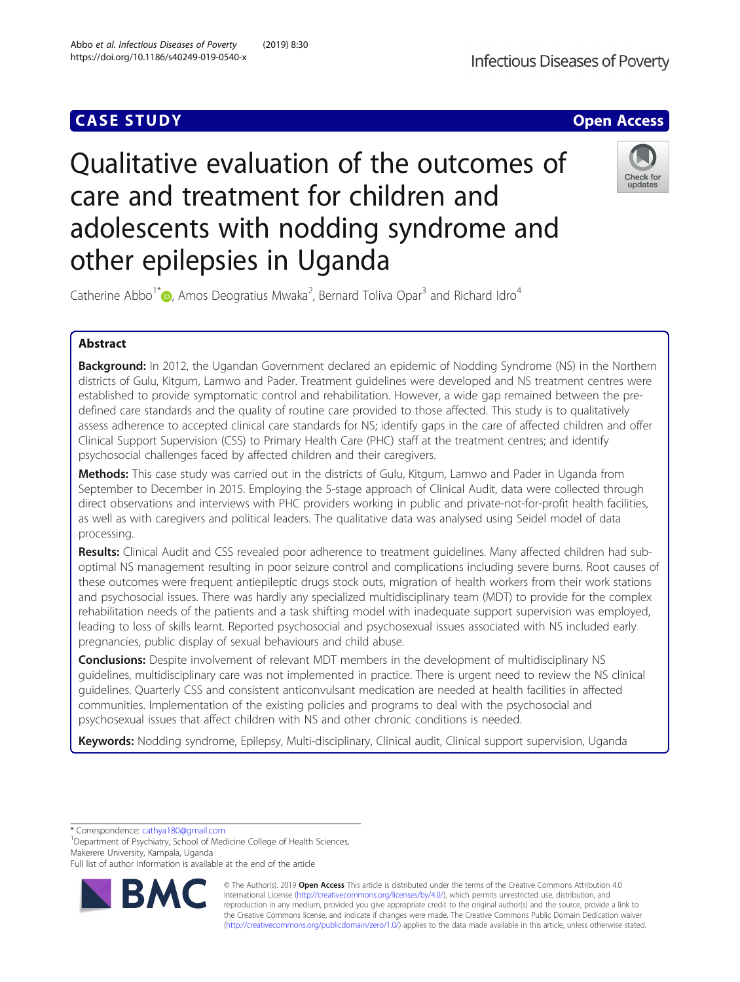# Qualitative evaluation of the outcomes of care and treatment for children and adolescents with nodding syndrome and other epilepsies in Uganda

Catherine Abbo<sup>1\*</sup> <sub>(b</sub>, Amos Deogratius Mwaka<sup>2</sup>, Bernard Toliva Opar<sup>3</sup> and Richard Idro<sup>4</sup>

# Abstract

Background: In 2012, the Ugandan Government declared an epidemic of Nodding Syndrome (NS) in the Northern districts of Gulu, Kitgum, Lamwo and Pader. Treatment guidelines were developed and NS treatment centres were established to provide symptomatic control and rehabilitation. However, a wide gap remained between the predefined care standards and the quality of routine care provided to those affected. This study is to qualitatively assess adherence to accepted clinical care standards for NS; identify gaps in the care of affected children and offer Clinical Support Supervision (CSS) to Primary Health Care (PHC) staff at the treatment centres; and identify psychosocial challenges faced by affected children and their caregivers.

Methods: This case study was carried out in the districts of Gulu, Kitgum, Lamwo and Pader in Uganda from September to December in 2015. Employing the 5-stage approach of Clinical Audit, data were collected through direct observations and interviews with PHC providers working in public and private-not-for-profit health facilities, as well as with caregivers and political leaders. The qualitative data was analysed using Seidel model of data processing.

Results: Clinical Audit and CSS revealed poor adherence to treatment quidelines. Many affected children had suboptimal NS management resulting in poor seizure control and complications including severe burns. Root causes of these outcomes were frequent antiepileptic drugs stock outs, migration of health workers from their work stations and psychosocial issues. There was hardly any specialized multidisciplinary team (MDT) to provide for the complex rehabilitation needs of the patients and a task shifting model with inadequate support supervision was employed, leading to loss of skills learnt. Reported psychosocial and psychosexual issues associated with NS included early pregnancies, public display of sexual behaviours and child abuse.

**Conclusions:** Despite involvement of relevant MDT members in the development of multidisciplinary NS guidelines, multidisciplinary care was not implemented in practice. There is urgent need to review the NS clinical guidelines. Quarterly CSS and consistent anticonvulsant medication are needed at health facilities in affected communities. Implementation of the existing policies and programs to deal with the psychosocial and psychosexual issues that affect children with NS and other chronic conditions is needed.

Keywords: Nodding syndrome, Epilepsy, Multi-disciplinary, Clinical audit, Clinical support supervision, Uganda

\* Correspondence: [cathya180@gmail.com](mailto:cathya180@gmail.com) <sup>1</sup>

<sup>1</sup>Department of Psychiatry, School of Medicine College of Health Sciences, Makerere University, Kampala, Uganda

Full list of author information is available at the end of the article





© The Author(s). 2019 **Open Access** This article is distributed under the terms of the Creative Commons Attribution 4.0 International License [\(http://creativecommons.org/licenses/by/4.0/](http://creativecommons.org/licenses/by/4.0/)), which permits unrestricted use, distribution, and reproduction in any medium, provided you give appropriate credit to the original author(s) and the source, provide a link to the Creative Commons license, and indicate if changes were made. The Creative Commons Public Domain Dedication waiver [\(http://creativecommons.org/publicdomain/zero/1.0/](http://creativecommons.org/publicdomain/zero/1.0/)) applies to the data made available in this article, unless otherwise stated.

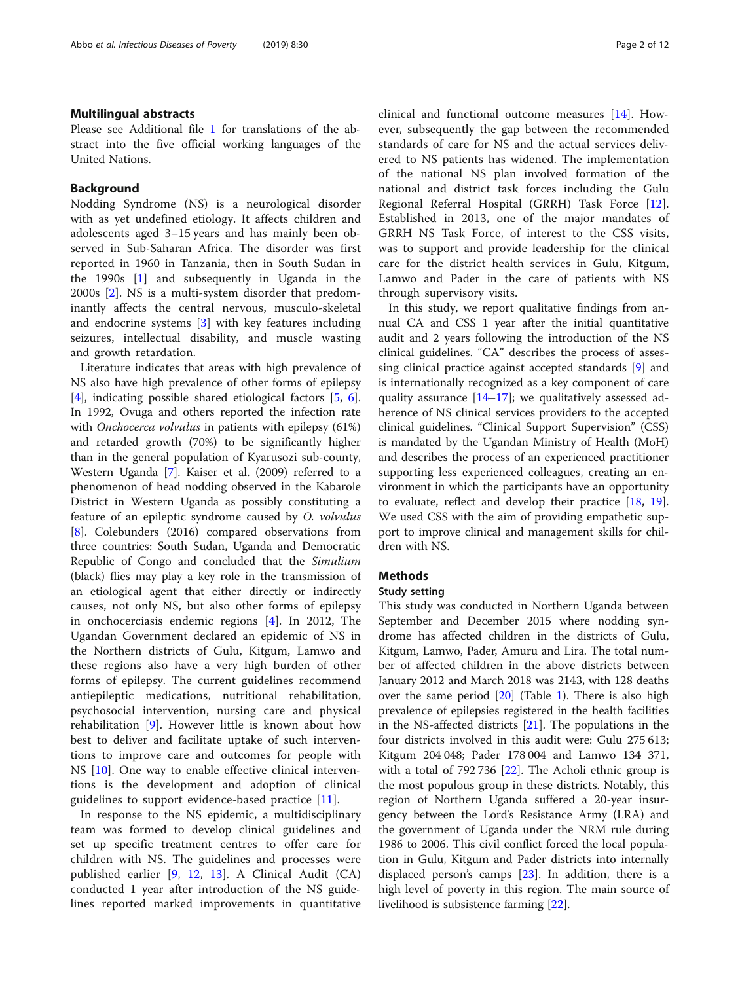## Multilingual abstracts

Please see Additional file [1](#page-10-0) for translations of the abstract into the five official working languages of the United Nations.

## Background

Nodding Syndrome (NS) is a neurological disorder with as yet undefined etiology. It affects children and adolescents aged 3–15 years and has mainly been observed in Sub-Saharan Africa. The disorder was first reported in 1960 in Tanzania, then in South Sudan in the 1990s [[1\]](#page-10-0) and subsequently in Uganda in the 2000s [[2\]](#page-10-0). NS is a multi-system disorder that predominantly affects the central nervous, musculo-skeletal and endocrine systems [[3\]](#page-10-0) with key features including seizures, intellectual disability, and muscle wasting and growth retardation.

Literature indicates that areas with high prevalence of NS also have high prevalence of other forms of epilepsy [[4\]](#page-10-0), indicating possible shared etiological factors [[5,](#page-11-0) [6](#page-11-0)]. In 1992, Ovuga and others reported the infection rate with *Onchocerca volvulus* in patients with epilepsy (61%) and retarded growth (70%) to be significantly higher than in the general population of Kyarusozi sub-county, Western Uganda [\[7\]](#page-11-0). Kaiser et al. (2009) referred to a phenomenon of head nodding observed in the Kabarole District in Western Uganda as possibly constituting a feature of an epileptic syndrome caused by O. volvulus [[8\]](#page-11-0). Colebunders (2016) compared observations from three countries: South Sudan, Uganda and Democratic Republic of Congo and concluded that the Simulium (black) flies may play a key role in the transmission of an etiological agent that either directly or indirectly causes, not only NS, but also other forms of epilepsy in onchocerciasis endemic regions [\[4](#page-10-0)]. In 2012, The Ugandan Government declared an epidemic of NS in the Northern districts of Gulu, Kitgum, Lamwo and these regions also have a very high burden of other forms of epilepsy. The current guidelines recommend antiepileptic medications, nutritional rehabilitation, psychosocial intervention, nursing care and physical rehabilitation [\[9](#page-11-0)]. However little is known about how best to deliver and facilitate uptake of such interventions to improve care and outcomes for people with NS [[10\]](#page-11-0). One way to enable effective clinical interventions is the development and adoption of clinical guidelines to support evidence-based practice [\[11](#page-11-0)].

In response to the NS epidemic, a multidisciplinary team was formed to develop clinical guidelines and set up specific treatment centres to offer care for children with NS. The guidelines and processes were published earlier [[9](#page-11-0), [12](#page-11-0), [13](#page-11-0)]. A Clinical Audit (CA) conducted 1 year after introduction of the NS guidelines reported marked improvements in quantitative clinical and functional outcome measures [[14\]](#page-11-0). However, subsequently the gap between the recommended standards of care for NS and the actual services delivered to NS patients has widened. The implementation of the national NS plan involved formation of the national and district task forces including the Gulu Regional Referral Hospital (GRRH) Task Force [\[12](#page-11-0)]. Established in 2013, one of the major mandates of GRRH NS Task Force, of interest to the CSS visits, was to support and provide leadership for the clinical care for the district health services in Gulu, Kitgum, Lamwo and Pader in the care of patients with NS through supervisory visits.

In this study, we report qualitative findings from annual CA and CSS 1 year after the initial quantitative audit and 2 years following the introduction of the NS clinical guidelines. "CA" describes the process of assessing clinical practice against accepted standards [[9\]](#page-11-0) and is internationally recognized as a key component of care quality assurance [[14](#page-11-0)–[17](#page-11-0)]; we qualitatively assessed adherence of NS clinical services providers to the accepted clinical guidelines. "Clinical Support Supervision" (CSS) is mandated by the Ugandan Ministry of Health (MoH) and describes the process of an experienced practitioner supporting less experienced colleagues, creating an environment in which the participants have an opportunity to evaluate, reflect and develop their practice [[18,](#page-11-0) [19](#page-11-0)]. We used CSS with the aim of providing empathetic support to improve clinical and management skills for children with NS.

# Methods

## Study setting

This study was conducted in Northern Uganda between September and December 2015 where nodding syndrome has affected children in the districts of Gulu, Kitgum, Lamwo, Pader, Amuru and Lira. The total number of affected children in the above districts between January 2012 and March 2018 was 2143, with 128 deaths over the same period [\[20](#page-11-0)] (Table [1\)](#page-2-0). There is also high prevalence of epilepsies registered in the health facilities in the NS-affected districts [[21\]](#page-11-0). The populations in the four districts involved in this audit were: Gulu 275 613; Kitgum 204 048; Pader 178 004 and Lamwo 134 371, with a total of 792 736 [\[22](#page-11-0)]. The Acholi ethnic group is the most populous group in these districts. Notably, this region of Northern Uganda suffered a 20-year insurgency between the Lord's Resistance Army (LRA) and the government of Uganda under the NRM rule during 1986 to 2006. This civil conflict forced the local population in Gulu, Kitgum and Pader districts into internally displaced person's camps  $[23]$  $[23]$ . In addition, there is a high level of poverty in this region. The main source of livelihood is subsistence farming [[22\]](#page-11-0).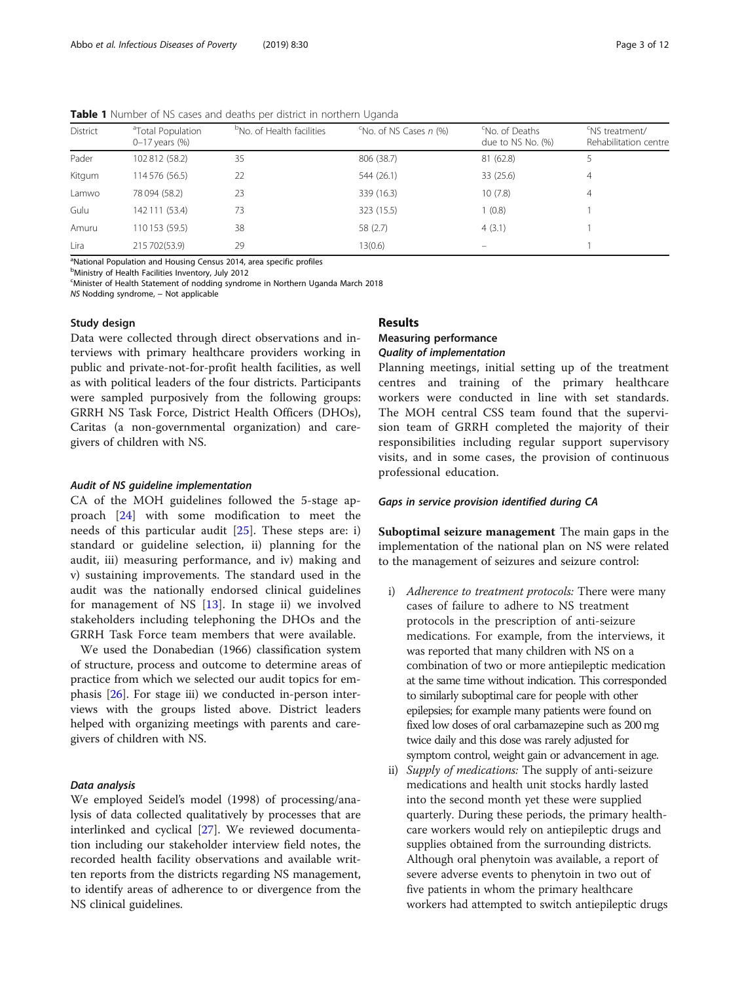<span id="page-2-0"></span>Table 1 Number of NS cases and deaths per district in northern Uganda

| District | <sup>a</sup> Total Population<br>$0 - 17$ years $(%)$ | <sup>D</sup> No. of Health facilities | No. of NS Cases n (%) | <sup>c</sup> No. of Deaths<br>due to NS No. (%) | 'NS treatment/<br>Rehabilitation centre |
|----------|-------------------------------------------------------|---------------------------------------|-----------------------|-------------------------------------------------|-----------------------------------------|
| Pader    | 102 812 (58.2)                                        | 35                                    | 806 (38.7)            | 81 (62.8)                                       |                                         |
| Kitgum   | 114 576 (56.5)                                        | 22                                    | 544 (26.1)            | 33 (25.6)                                       | 4                                       |
| Lamwo    | 78 094 (58.2)                                         | 23                                    | 339 (16.3)            | 10(7.8)                                         | 4                                       |
| Gulu     | 142 111 (53.4)                                        | 73                                    | 323 (15.5)            | 1(0.8)                                          |                                         |
| Amuru    | 110 153 (59.5)                                        | 38                                    | 58 (2.7)              | 4(3.1)                                          |                                         |
| Lira     | 215 702 (53.9)                                        | 29                                    | 13(0.6)               |                                                 |                                         |

<sup>a</sup>National Population and Housing Census 2014, area specific profiles

<sup>b</sup>Ministry of Health Facilities Inventory, July 2012

<sup>c</sup>Minister of Health Statement of nodding syndrome in Northern Uganda March 2018

NS Nodding syndrome, − Not applicable

### Study design

Data were collected through direct observations and interviews with primary healthcare providers working in public and private-not-for-profit health facilities, as well as with political leaders of the four districts. Participants were sampled purposively from the following groups: GRRH NS Task Force, District Health Officers (DHOs), Caritas (a non-governmental organization) and caregivers of children with NS.

## Audit of NS guideline implementation

CA of the MOH guidelines followed the 5-stage approach [\[24](#page-11-0)] with some modification to meet the needs of this particular audit  $[25]$  $[25]$ . These steps are: i) standard or guideline selection, ii) planning for the audit, iii) measuring performance, and iv) making and v) sustaining improvements. The standard used in the audit was the nationally endorsed clinical guidelines for management of NS  $[13]$  $[13]$ . In stage ii) we involved stakeholders including telephoning the DHOs and the GRRH Task Force team members that were available.

We used the Donabedian (1966) classification system of structure, process and outcome to determine areas of practice from which we selected our audit topics for emphasis [[26\]](#page-11-0). For stage iii) we conducted in-person interviews with the groups listed above. District leaders helped with organizing meetings with parents and caregivers of children with NS.

#### Data analysis

We employed Seidel's model (1998) of processing/analysis of data collected qualitatively by processes that are interlinked and cyclical [\[27](#page-11-0)]. We reviewed documentation including our stakeholder interview field notes, the recorded health facility observations and available written reports from the districts regarding NS management, to identify areas of adherence to or divergence from the NS clinical guidelines.

# Results

# Measuring performance Quality of implementation

Planning meetings, initial setting up of the treatment centres and training of the primary healthcare workers were conducted in line with set standards. The MOH central CSS team found that the supervision team of GRRH completed the majority of their responsibilities including regular support supervisory visits, and in some cases, the provision of continuous professional education.

#### Gaps in service provision identified during CA

Suboptimal seizure management The main gaps in the implementation of the national plan on NS were related to the management of seizures and seizure control:

- i) Adherence to treatment protocols: There were many cases of failure to adhere to NS treatment protocols in the prescription of anti-seizure medications. For example, from the interviews, it was reported that many children with NS on a combination of two or more antiepileptic medication at the same time without indication. This corresponded to similarly suboptimal care for people with other epilepsies; for example many patients were found on fixed low doses of oral carbamazepine such as 200 mg twice daily and this dose was rarely adjusted for symptom control, weight gain or advancement in age.
- ii) Supply of medications: The supply of anti-seizure medications and health unit stocks hardly lasted into the second month yet these were supplied quarterly. During these periods, the primary healthcare workers would rely on antiepileptic drugs and supplies obtained from the surrounding districts. Although oral phenytoin was available, a report of severe adverse events to phenytoin in two out of five patients in whom the primary healthcare workers had attempted to switch antiepileptic drugs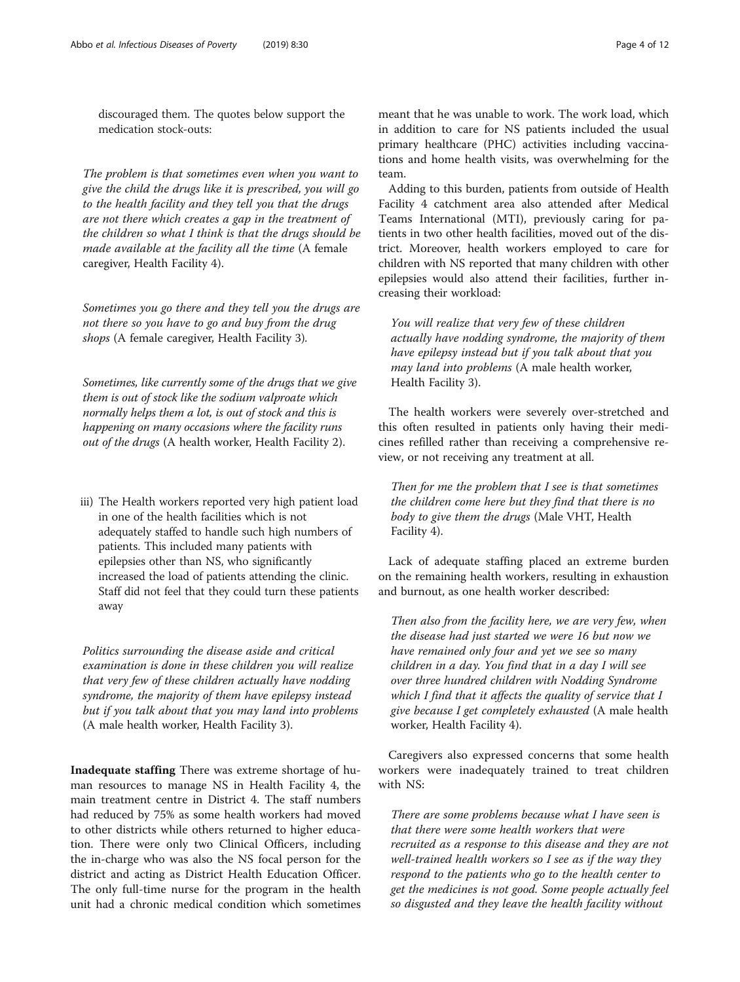discouraged them. The quotes below support the medication stock-outs:

The problem is that sometimes even when you want to give the child the drugs like it is prescribed, you will go to the health facility and they tell you that the drugs are not there which creates a gap in the treatment of the children so what I think is that the drugs should be made available at the facility all the time (A female caregiver, Health Facility 4).

Sometimes you go there and they tell you the drugs are not there so you have to go and buy from the drug shops (A female caregiver, Health Facility 3).

Sometimes, like currently some of the drugs that we give them is out of stock like the sodium valproate which normally helps them a lot, is out of stock and this is happening on many occasions where the facility runs out of the drugs (A health worker, Health Facility 2).

iii) The Health workers reported very high patient load in one of the health facilities which is not adequately staffed to handle such high numbers of patients. This included many patients with epilepsies other than NS, who significantly increased the load of patients attending the clinic. Staff did not feel that they could turn these patients away

Politics surrounding the disease aside and critical examination is done in these children you will realize that very few of these children actually have nodding syndrome, the majority of them have epilepsy instead but if you talk about that you may land into problems (A male health worker, Health Facility 3).

Inadequate staffing There was extreme shortage of human resources to manage NS in Health Facility 4, the main treatment centre in District 4. The staff numbers had reduced by 75% as some health workers had moved to other districts while others returned to higher education. There were only two Clinical Officers, including the in-charge who was also the NS focal person for the district and acting as District Health Education Officer. The only full-time nurse for the program in the health unit had a chronic medical condition which sometimes

meant that he was unable to work. The work load, which in addition to care for NS patients included the usual primary healthcare (PHC) activities including vaccinations and home health visits, was overwhelming for the team.

Adding to this burden, patients from outside of Health Facility 4 catchment area also attended after Medical Teams International (MTI), previously caring for patients in two other health facilities, moved out of the district. Moreover, health workers employed to care for children with NS reported that many children with other epilepsies would also attend their facilities, further increasing their workload:

You will realize that very few of these children actually have nodding syndrome, the majority of them have epilepsy instead but if you talk about that you may land into problems (A male health worker, Health Facility 3).

The health workers were severely over-stretched and this often resulted in patients only having their medicines refilled rather than receiving a comprehensive review, or not receiving any treatment at all.

Then for me the problem that I see is that sometimes the children come here but they find that there is no body to give them the drugs (Male VHT, Health Facility 4).

Lack of adequate staffing placed an extreme burden on the remaining health workers, resulting in exhaustion and burnout, as one health worker described:

Then also from the facility here, we are very few, when the disease had just started we were 16 but now we have remained only four and yet we see so many children in a day. You find that in a day I will see over three hundred children with Nodding Syndrome which I find that it affects the quality of service that I give because I get completely exhausted (A male health worker, Health Facility 4).

Caregivers also expressed concerns that some health workers were inadequately trained to treat children with NS:

There are some problems because what I have seen is that there were some health workers that were recruited as a response to this disease and they are not well-trained health workers so I see as if the way they respond to the patients who go to the health center to get the medicines is not good. Some people actually feel so disgusted and they leave the health facility without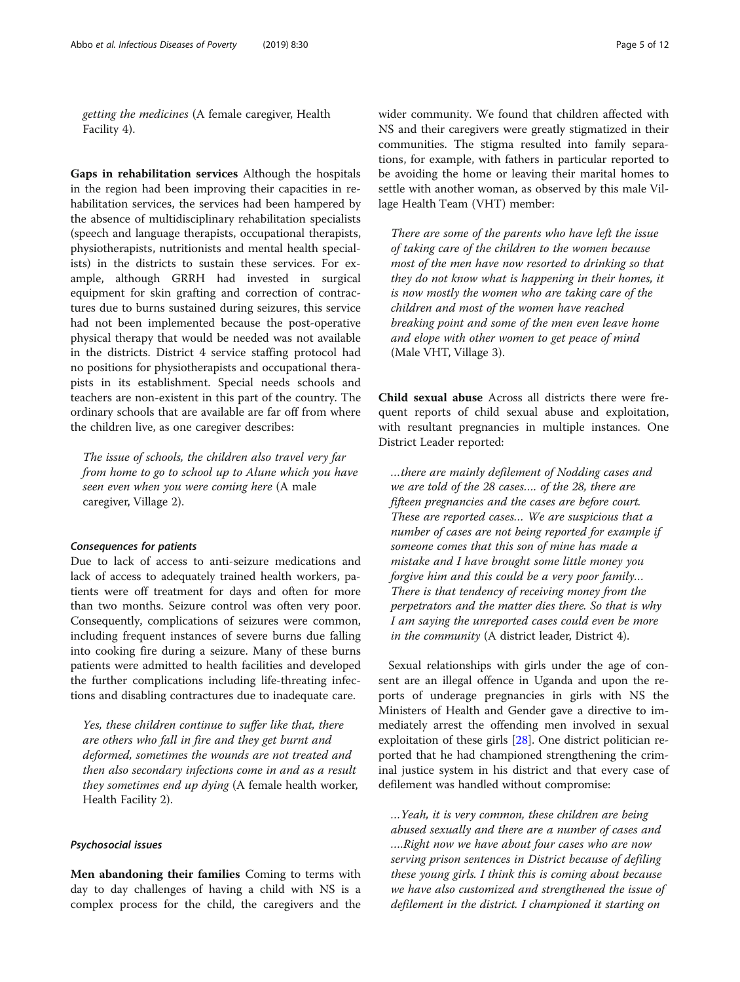getting the medicines (A female caregiver, Health Facility 4).

Gaps in rehabilitation services Although the hospitals in the region had been improving their capacities in rehabilitation services, the services had been hampered by the absence of multidisciplinary rehabilitation specialists (speech and language therapists, occupational therapists, physiotherapists, nutritionists and mental health specialists) in the districts to sustain these services. For example, although GRRH had invested in surgical equipment for skin grafting and correction of contractures due to burns sustained during seizures, this service had not been implemented because the post-operative physical therapy that would be needed was not available in the districts. District 4 service staffing protocol had no positions for physiotherapists and occupational therapists in its establishment. Special needs schools and teachers are non-existent in this part of the country. The ordinary schools that are available are far off from where the children live, as one caregiver describes:

The issue of schools, the children also travel very far from home to go to school up to Alune which you have seen even when you were coming here (A male caregiver, Village 2).

#### Consequences for patients

Due to lack of access to anti-seizure medications and lack of access to adequately trained health workers, patients were off treatment for days and often for more than two months. Seizure control was often very poor. Consequently, complications of seizures were common, including frequent instances of severe burns due falling into cooking fire during a seizure. Many of these burns patients were admitted to health facilities and developed the further complications including life-threating infections and disabling contractures due to inadequate care.

Yes, these children continue to suffer like that, there are others who fall in fire and they get burnt and deformed, sometimes the wounds are not treated and then also secondary infections come in and as a result they sometimes end up dying (A female health worker, Health Facility 2).

## Psychosocial issues

Men abandoning their families Coming to terms with day to day challenges of having a child with NS is a complex process for the child, the caregivers and the wider community. We found that children affected with NS and their caregivers were greatly stigmatized in their communities. The stigma resulted into family separations, for example, with fathers in particular reported to be avoiding the home or leaving their marital homes to settle with another woman, as observed by this male Village Health Team (VHT) member:

There are some of the parents who have left the issue of taking care of the children to the women because most of the men have now resorted to drinking so that they do not know what is happening in their homes, it is now mostly the women who are taking care of the children and most of the women have reached breaking point and some of the men even leave home and elope with other women to get peace of mind (Male VHT, Village 3).

Child sexual abuse Across all districts there were frequent reports of child sexual abuse and exploitation, with resultant pregnancies in multiple instances. One District Leader reported:

…there are mainly defilement of Nodding cases and we are told of the 28 cases…. of the 28, there are fifteen pregnancies and the cases are before court. These are reported cases… We are suspicious that a number of cases are not being reported for example if someone comes that this son of mine has made a mistake and I have brought some little money you forgive him and this could be a very poor family… There is that tendency of receiving money from the perpetrators and the matter dies there. So that is why I am saying the unreported cases could even be more in the community (A district leader, District 4).

Sexual relationships with girls under the age of consent are an illegal offence in Uganda and upon the reports of underage pregnancies in girls with NS the Ministers of Health and Gender gave a directive to immediately arrest the offending men involved in sexual exploitation of these girls [\[28](#page-11-0)]. One district politician reported that he had championed strengthening the criminal justice system in his district and that every case of defilement was handled without compromise:

…Yeah, it is very common, these children are being abused sexually and there are a number of cases and ….Right now we have about four cases who are now serving prison sentences in District because of defiling these young girls. I think this is coming about because we have also customized and strengthened the issue of defilement in the district. I championed it starting on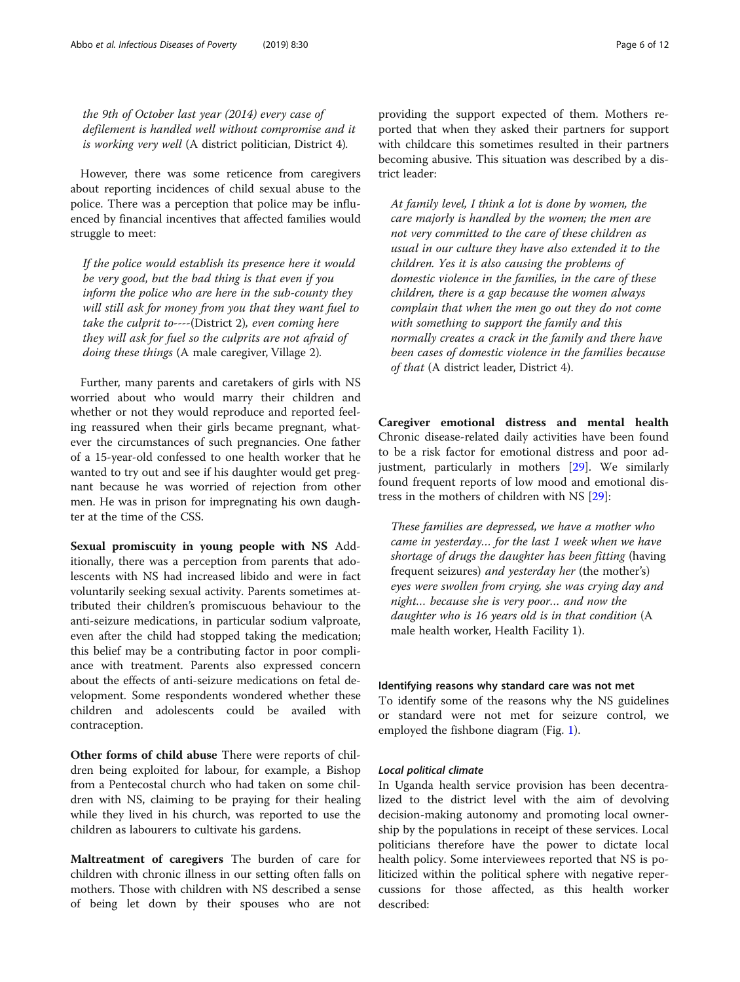the 9th of October last year (2014) every case of defilement is handled well without compromise and it is working very well (A district politician, District 4).

However, there was some reticence from caregivers about reporting incidences of child sexual abuse to the police. There was a perception that police may be influenced by financial incentives that affected families would struggle to meet:

If the police would establish its presence here it would be very good, but the bad thing is that even if you inform the police who are here in the sub-county they will still ask for money from you that they want fuel to take the culprit to----(District 2), even coming here they will ask for fuel so the culprits are not afraid of doing these things (A male caregiver, Village 2).

Further, many parents and caretakers of girls with NS worried about who would marry their children and whether or not they would reproduce and reported feeling reassured when their girls became pregnant, whatever the circumstances of such pregnancies. One father of a 15-year-old confessed to one health worker that he wanted to try out and see if his daughter would get pregnant because he was worried of rejection from other men. He was in prison for impregnating his own daughter at the time of the CSS.

Sexual promiscuity in young people with NS Additionally, there was a perception from parents that adolescents with NS had increased libido and were in fact voluntarily seeking sexual activity. Parents sometimes attributed their children's promiscuous behaviour to the anti-seizure medications, in particular sodium valproate, even after the child had stopped taking the medication; this belief may be a contributing factor in poor compliance with treatment. Parents also expressed concern about the effects of anti-seizure medications on fetal development. Some respondents wondered whether these children and adolescents could be availed with contraception.

Other forms of child abuse There were reports of children being exploited for labour, for example, a Bishop from a Pentecostal church who had taken on some children with NS, claiming to be praying for their healing while they lived in his church, was reported to use the children as labourers to cultivate his gardens.

Maltreatment of caregivers The burden of care for children with chronic illness in our setting often falls on mothers. Those with children with NS described a sense of being let down by their spouses who are not providing the support expected of them. Mothers reported that when they asked their partners for support with childcare this sometimes resulted in their partners becoming abusive. This situation was described by a district leader:

At family level, I think a lot is done by women, the care majorly is handled by the women; the men are not very committed to the care of these children as usual in our culture they have also extended it to the children. Yes it is also causing the problems of domestic violence in the families, in the care of these children, there is a gap because the women always complain that when the men go out they do not come with something to support the family and this normally creates a crack in the family and there have been cases of domestic violence in the families because of that (A district leader, District 4).

Caregiver emotional distress and mental health Chronic disease-related daily activities have been found to be a risk factor for emotional distress and poor adjustment, particularly in mothers [[29\]](#page-11-0). We similarly found frequent reports of low mood and emotional distress in the mothers of children with NS [[29\]](#page-11-0):

These families are depressed, we have a mother who came in yesterday… for the last 1 week when we have shortage of drugs the daughter has been fitting (having frequent seizures) and yesterday her (the mother's) eyes were swollen from crying, she was crying day and night… because she is very poor… and now the daughter who is 16 years old is in that condition (A male health worker, Health Facility 1).

#### Identifying reasons why standard care was not met

To identify some of the reasons why the NS guidelines or standard were not met for seizure control, we employed the fishbone diagram (Fig. [1](#page-6-0)).

## Local political climate

In Uganda health service provision has been decentralized to the district level with the aim of devolving decision-making autonomy and promoting local ownership by the populations in receipt of these services. Local politicians therefore have the power to dictate local health policy. Some interviewees reported that NS is politicized within the political sphere with negative repercussions for those affected, as this health worker described: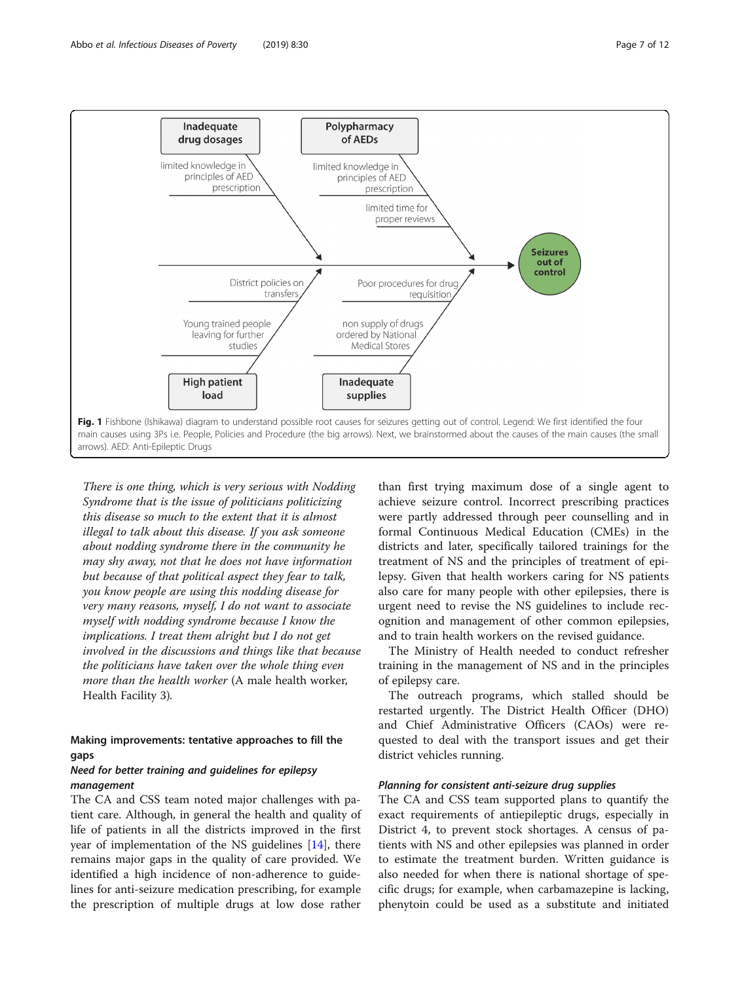<span id="page-6-0"></span>

There is one thing, which is very serious with Nodding Syndrome that is the issue of politicians politicizing this disease so much to the extent that it is almost illegal to talk about this disease. If you ask someone about nodding syndrome there in the community he may shy away, not that he does not have information but because of that political aspect they fear to talk, you know people are using this nodding disease for very many reasons, myself, I do not want to associate myself with nodding syndrome because I know the implications. I treat them alright but I do not get involved in the discussions and things like that because the politicians have taken over the whole thing even more than the health worker (A male health worker, Health Facility 3).

# Making improvements: tentative approaches to fill the gaps

# Need for better training and guidelines for epilepsy management

The CA and CSS team noted major challenges with patient care. Although, in general the health and quality of life of patients in all the districts improved in the first year of implementation of the NS guidelines [[14](#page-11-0)], there remains major gaps in the quality of care provided. We identified a high incidence of non-adherence to guidelines for anti-seizure medication prescribing, for example the prescription of multiple drugs at low dose rather

than first trying maximum dose of a single agent to achieve seizure control. Incorrect prescribing practices were partly addressed through peer counselling and in formal Continuous Medical Education (CMEs) in the districts and later, specifically tailored trainings for the treatment of NS and the principles of treatment of epilepsy. Given that health workers caring for NS patients also care for many people with other epilepsies, there is urgent need to revise the NS guidelines to include recognition and management of other common epilepsies, and to train health workers on the revised guidance.

The Ministry of Health needed to conduct refresher training in the management of NS and in the principles of epilepsy care.

The outreach programs, which stalled should be restarted urgently. The District Health Officer (DHO) and Chief Administrative Officers (CAOs) were requested to deal with the transport issues and get their district vehicles running.

# Planning for consistent anti-seizure drug supplies

The CA and CSS team supported plans to quantify the exact requirements of antiepileptic drugs, especially in District 4, to prevent stock shortages. A census of patients with NS and other epilepsies was planned in order to estimate the treatment burden. Written guidance is also needed for when there is national shortage of specific drugs; for example, when carbamazepine is lacking, phenytoin could be used as a substitute and initiated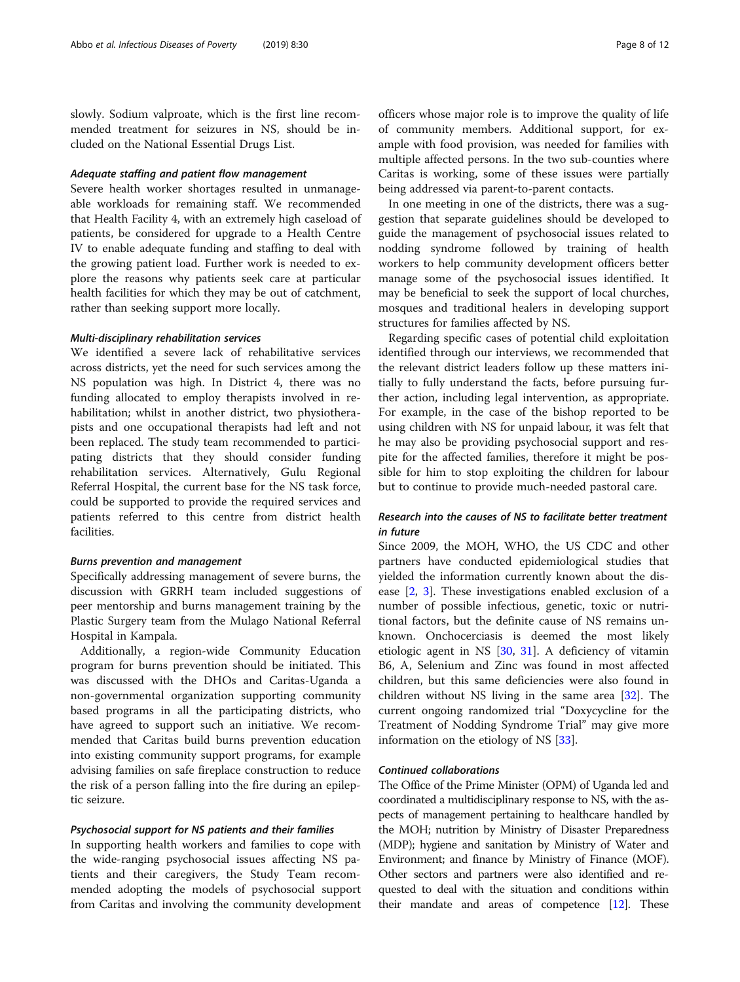slowly. Sodium valproate, which is the first line recommended treatment for seizures in NS, should be included on the National Essential Drugs List.

### Adequate staffing and patient flow management

Severe health worker shortages resulted in unmanageable workloads for remaining staff. We recommended that Health Facility 4, with an extremely high caseload of patients, be considered for upgrade to a Health Centre IV to enable adequate funding and staffing to deal with the growing patient load. Further work is needed to explore the reasons why patients seek care at particular health facilities for which they may be out of catchment, rather than seeking support more locally.

#### Multi-disciplinary rehabilitation services

We identified a severe lack of rehabilitative services across districts, yet the need for such services among the NS population was high. In District 4, there was no funding allocated to employ therapists involved in rehabilitation; whilst in another district, two physiotherapists and one occupational therapists had left and not been replaced. The study team recommended to participating districts that they should consider funding rehabilitation services. Alternatively, Gulu Regional Referral Hospital, the current base for the NS task force, could be supported to provide the required services and patients referred to this centre from district health facilities.

#### Burns prevention and management

Specifically addressing management of severe burns, the discussion with GRRH team included suggestions of peer mentorship and burns management training by the Plastic Surgery team from the Mulago National Referral Hospital in Kampala.

Additionally, a region-wide Community Education program for burns prevention should be initiated. This was discussed with the DHOs and Caritas-Uganda a non-governmental organization supporting community based programs in all the participating districts, who have agreed to support such an initiative. We recommended that Caritas build burns prevention education into existing community support programs, for example advising families on safe fireplace construction to reduce the risk of a person falling into the fire during an epileptic seizure.

#### Psychosocial support for NS patients and their families

In supporting health workers and families to cope with the wide-ranging psychosocial issues affecting NS patients and their caregivers, the Study Team recommended adopting the models of psychosocial support from Caritas and involving the community development officers whose major role is to improve the quality of life of community members. Additional support, for example with food provision, was needed for families with multiple affected persons. In the two sub-counties where Caritas is working, some of these issues were partially being addressed via parent-to-parent contacts.

In one meeting in one of the districts, there was a suggestion that separate guidelines should be developed to guide the management of psychosocial issues related to nodding syndrome followed by training of health workers to help community development officers better manage some of the psychosocial issues identified. It may be beneficial to seek the support of local churches, mosques and traditional healers in developing support structures for families affected by NS.

Regarding specific cases of potential child exploitation identified through our interviews, we recommended that the relevant district leaders follow up these matters initially to fully understand the facts, before pursuing further action, including legal intervention, as appropriate. For example, in the case of the bishop reported to be using children with NS for unpaid labour, it was felt that he may also be providing psychosocial support and respite for the affected families, therefore it might be possible for him to stop exploiting the children for labour but to continue to provide much-needed pastoral care.

# Research into the causes of NS to facilitate better treatment in future

Since 2009, the MOH, WHO, the US CDC and other partners have conducted epidemiological studies that yielded the information currently known about the disease [\[2](#page-10-0), [3\]](#page-10-0). These investigations enabled exclusion of a number of possible infectious, genetic, toxic or nutritional factors, but the definite cause of NS remains unknown. Onchocerciasis is deemed the most likely etiologic agent in NS [[30,](#page-11-0) [31\]](#page-11-0). A deficiency of vitamin B6, A, Selenium and Zinc was found in most affected children, but this same deficiencies were also found in children without NS living in the same area [[32\]](#page-11-0). The current ongoing randomized trial "Doxycycline for the Treatment of Nodding Syndrome Trial" may give more information on the etiology of NS [[33\]](#page-11-0).

## Continued collaborations

The Office of the Prime Minister (OPM) of Uganda led and coordinated a multidisciplinary response to NS, with the aspects of management pertaining to healthcare handled by the MOH; nutrition by Ministry of Disaster Preparedness (MDP); hygiene and sanitation by Ministry of Water and Environment; and finance by Ministry of Finance (MOF). Other sectors and partners were also identified and requested to deal with the situation and conditions within their mandate and areas of competence [\[12\]](#page-11-0). These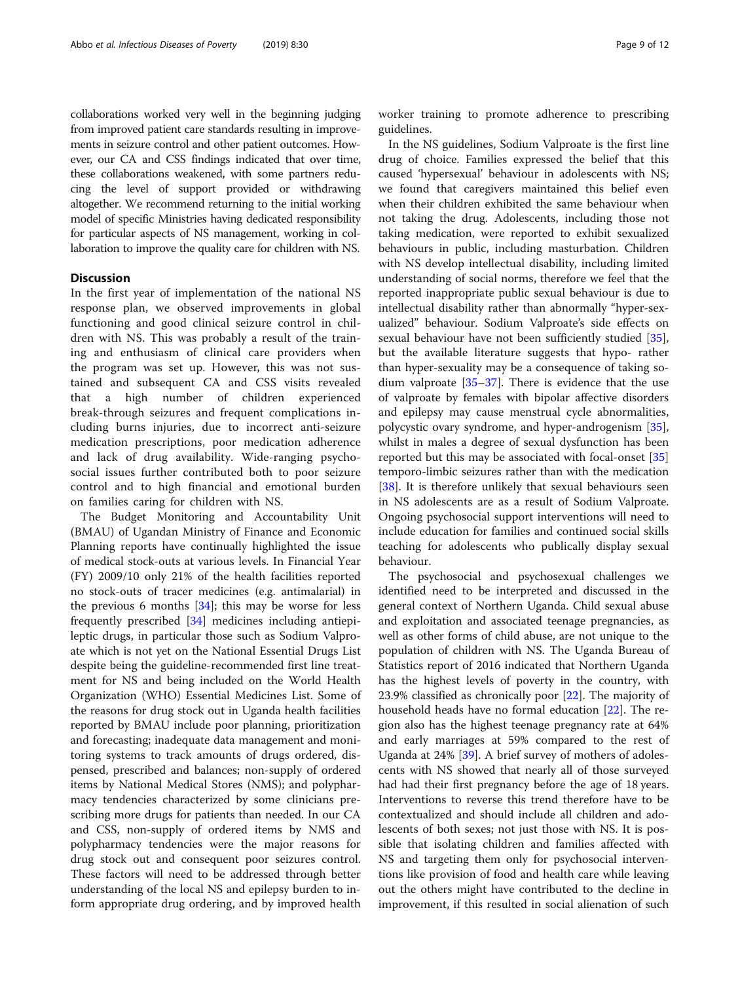collaborations worked very well in the beginning judging from improved patient care standards resulting in improvements in seizure control and other patient outcomes. However, our CA and CSS findings indicated that over time, these collaborations weakened, with some partners reducing the level of support provided or withdrawing altogether. We recommend returning to the initial working model of specific Ministries having dedicated responsibility for particular aspects of NS management, working in collaboration to improve the quality care for children with NS.

## **Discussion**

In the first year of implementation of the national NS response plan, we observed improvements in global functioning and good clinical seizure control in children with NS. This was probably a result of the training and enthusiasm of clinical care providers when the program was set up. However, this was not sustained and subsequent CA and CSS visits revealed that a high number of children experienced break-through seizures and frequent complications including burns injuries, due to incorrect anti-seizure medication prescriptions, poor medication adherence and lack of drug availability. Wide-ranging psychosocial issues further contributed both to poor seizure control and to high financial and emotional burden on families caring for children with NS.

The Budget Monitoring and Accountability Unit (BMAU) of Ugandan Ministry of Finance and Economic Planning reports have continually highlighted the issue of medical stock-outs at various levels. In Financial Year (FY) 2009/10 only 21% of the health facilities reported no stock-outs of tracer medicines (e.g. antimalarial) in the previous 6 months  $[34]$  $[34]$  $[34]$ ; this may be worse for less frequently prescribed [\[34\]](#page-11-0) medicines including antiepileptic drugs, in particular those such as Sodium Valproate which is not yet on the National Essential Drugs List despite being the guideline-recommended first line treatment for NS and being included on the World Health Organization (WHO) Essential Medicines List. Some of the reasons for drug stock out in Uganda health facilities reported by BMAU include poor planning, prioritization and forecasting; inadequate data management and monitoring systems to track amounts of drugs ordered, dispensed, prescribed and balances; non-supply of ordered items by National Medical Stores (NMS); and polypharmacy tendencies characterized by some clinicians prescribing more drugs for patients than needed. In our CA and CSS, non-supply of ordered items by NMS and polypharmacy tendencies were the major reasons for drug stock out and consequent poor seizures control. These factors will need to be addressed through better understanding of the local NS and epilepsy burden to inform appropriate drug ordering, and by improved health worker training to promote adherence to prescribing guidelines.

In the NS guidelines, Sodium Valproate is the first line drug of choice. Families expressed the belief that this caused 'hypersexual' behaviour in adolescents with NS; we found that caregivers maintained this belief even when their children exhibited the same behaviour when not taking the drug. Adolescents, including those not taking medication, were reported to exhibit sexualized behaviours in public, including masturbation. Children with NS develop intellectual disability, including limited understanding of social norms, therefore we feel that the reported inappropriate public sexual behaviour is due to intellectual disability rather than abnormally "hyper-sexualized" behaviour. Sodium Valproate's side effects on sexual behaviour have not been sufficiently studied [\[35](#page-11-0)], but the available literature suggests that hypo- rather than hyper-sexuality may be a consequence of taking sodium valproate  $[35-37]$  $[35-37]$  $[35-37]$  $[35-37]$  $[35-37]$ . There is evidence that the use of valproate by females with bipolar affective disorders and epilepsy may cause menstrual cycle abnormalities, polycystic ovary syndrome, and hyper-androgenism [\[35](#page-11-0)], whilst in males a degree of sexual dysfunction has been reported but this may be associated with focal-onset [[35](#page-11-0)] temporo-limbic seizures rather than with the medication [[38\]](#page-11-0). It is therefore unlikely that sexual behaviours seen in NS adolescents are as a result of Sodium Valproate. Ongoing psychosocial support interventions will need to include education for families and continued social skills teaching for adolescents who publically display sexual behaviour.

The psychosocial and psychosexual challenges we identified need to be interpreted and discussed in the general context of Northern Uganda. Child sexual abuse and exploitation and associated teenage pregnancies, as well as other forms of child abuse, are not unique to the population of children with NS. The Uganda Bureau of Statistics report of 2016 indicated that Northern Uganda has the highest levels of poverty in the country, with 23.9% classified as chronically poor [\[22\]](#page-11-0). The majority of household heads have no formal education [[22\]](#page-11-0). The region also has the highest teenage pregnancy rate at 64% and early marriages at 59% compared to the rest of Uganda at 24% [\[39\]](#page-11-0). A brief survey of mothers of adolescents with NS showed that nearly all of those surveyed had had their first pregnancy before the age of 18 years. Interventions to reverse this trend therefore have to be contextualized and should include all children and adolescents of both sexes; not just those with NS. It is possible that isolating children and families affected with NS and targeting them only for psychosocial interventions like provision of food and health care while leaving out the others might have contributed to the decline in improvement, if this resulted in social alienation of such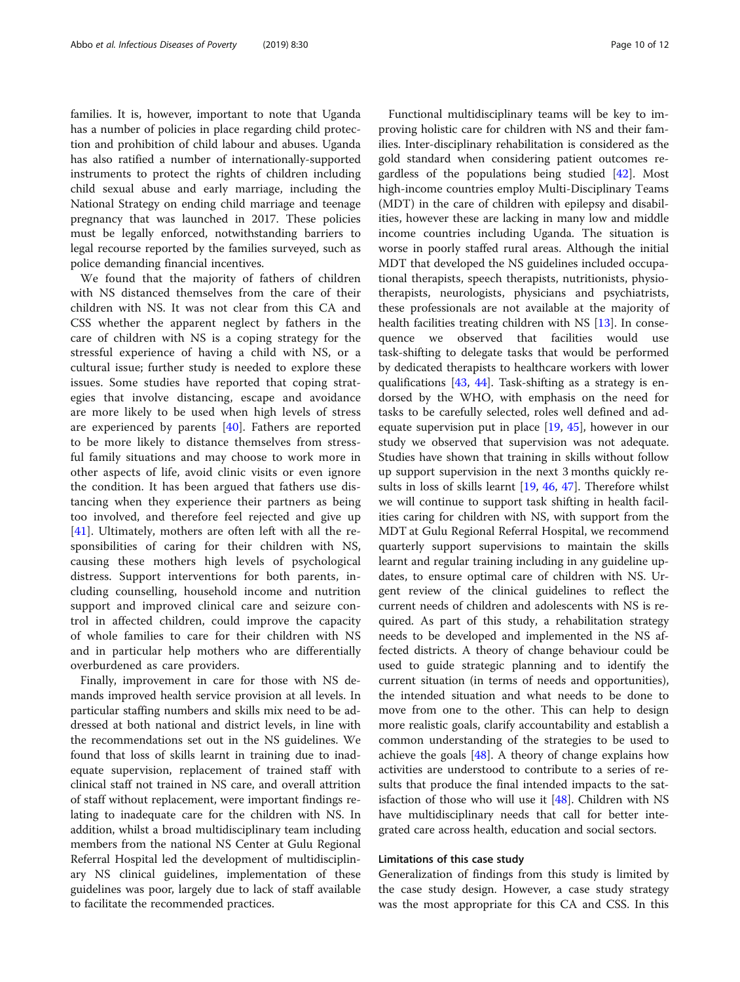families. It is, however, important to note that Uganda has a number of policies in place regarding child protection and prohibition of child labour and abuses. Uganda has also ratified a number of internationally-supported instruments to protect the rights of children including child sexual abuse and early marriage, including the National Strategy on ending child marriage and teenage pregnancy that was launched in 2017. These policies must be legally enforced, notwithstanding barriers to legal recourse reported by the families surveyed, such as police demanding financial incentives.

We found that the majority of fathers of children with NS distanced themselves from the care of their children with NS. It was not clear from this CA and CSS whether the apparent neglect by fathers in the care of children with NS is a coping strategy for the stressful experience of having a child with NS, or a cultural issue; further study is needed to explore these issues. Some studies have reported that coping strategies that involve distancing, escape and avoidance are more likely to be used when high levels of stress are experienced by parents [\[40](#page-11-0)]. Fathers are reported to be more likely to distance themselves from stressful family situations and may choose to work more in other aspects of life, avoid clinic visits or even ignore the condition. It has been argued that fathers use distancing when they experience their partners as being too involved, and therefore feel rejected and give up [[41\]](#page-11-0). Ultimately, mothers are often left with all the responsibilities of caring for their children with NS, causing these mothers high levels of psychological distress. Support interventions for both parents, including counselling, household income and nutrition support and improved clinical care and seizure control in affected children, could improve the capacity of whole families to care for their children with NS and in particular help mothers who are differentially overburdened as care providers.

Finally, improvement in care for those with NS demands improved health service provision at all levels. In particular staffing numbers and skills mix need to be addressed at both national and district levels, in line with the recommendations set out in the NS guidelines. We found that loss of skills learnt in training due to inadequate supervision, replacement of trained staff with clinical staff not trained in NS care, and overall attrition of staff without replacement, were important findings relating to inadequate care for the children with NS. In addition, whilst a broad multidisciplinary team including members from the national NS Center at Gulu Regional Referral Hospital led the development of multidisciplinary NS clinical guidelines, implementation of these guidelines was poor, largely due to lack of staff available to facilitate the recommended practices.

Functional multidisciplinary teams will be key to improving holistic care for children with NS and their families. Inter-disciplinary rehabilitation is considered as the gold standard when considering patient outcomes regardless of the populations being studied [\[42](#page-11-0)]. Most high-income countries employ Multi-Disciplinary Teams (MDT) in the care of children with epilepsy and disabilities, however these are lacking in many low and middle income countries including Uganda. The situation is worse in poorly staffed rural areas. Although the initial MDT that developed the NS guidelines included occupational therapists, speech therapists, nutritionists, physiotherapists, neurologists, physicians and psychiatrists, these professionals are not available at the majority of health facilities treating children with NS [\[13](#page-11-0)]. In consequence we observed that facilities would use task-shifting to delegate tasks that would be performed by dedicated therapists to healthcare workers with lower qualifications [\[43](#page-11-0), [44](#page-11-0)]. Task-shifting as a strategy is endorsed by the WHO, with emphasis on the need for tasks to be carefully selected, roles well defined and adequate supervision put in place  $[19, 45]$  $[19, 45]$  $[19, 45]$  $[19, 45]$ , however in our study we observed that supervision was not adequate. Studies have shown that training in skills without follow up support supervision in the next 3 months quickly results in loss of skills learnt [[19](#page-11-0), [46,](#page-11-0) [47](#page-11-0)]. Therefore whilst we will continue to support task shifting in health facilities caring for children with NS, with support from the MDT at Gulu Regional Referral Hospital, we recommend quarterly support supervisions to maintain the skills learnt and regular training including in any guideline updates, to ensure optimal care of children with NS. Urgent review of the clinical guidelines to reflect the current needs of children and adolescents with NS is required. As part of this study, a rehabilitation strategy needs to be developed and implemented in the NS affected districts. A theory of change behaviour could be used to guide strategic planning and to identify the current situation (in terms of needs and opportunities), the intended situation and what needs to be done to move from one to the other. This can help to design more realistic goals, clarify accountability and establish a common understanding of the strategies to be used to achieve the goals  $[48]$ . A theory of change explains how activities are understood to contribute to a series of results that produce the final intended impacts to the satisfaction of those who will use it [[48\]](#page-11-0). Children with NS have multidisciplinary needs that call for better integrated care across health, education and social sectors.

#### Limitations of this case study

Generalization of findings from this study is limited by the case study design. However, a case study strategy was the most appropriate for this CA and CSS. In this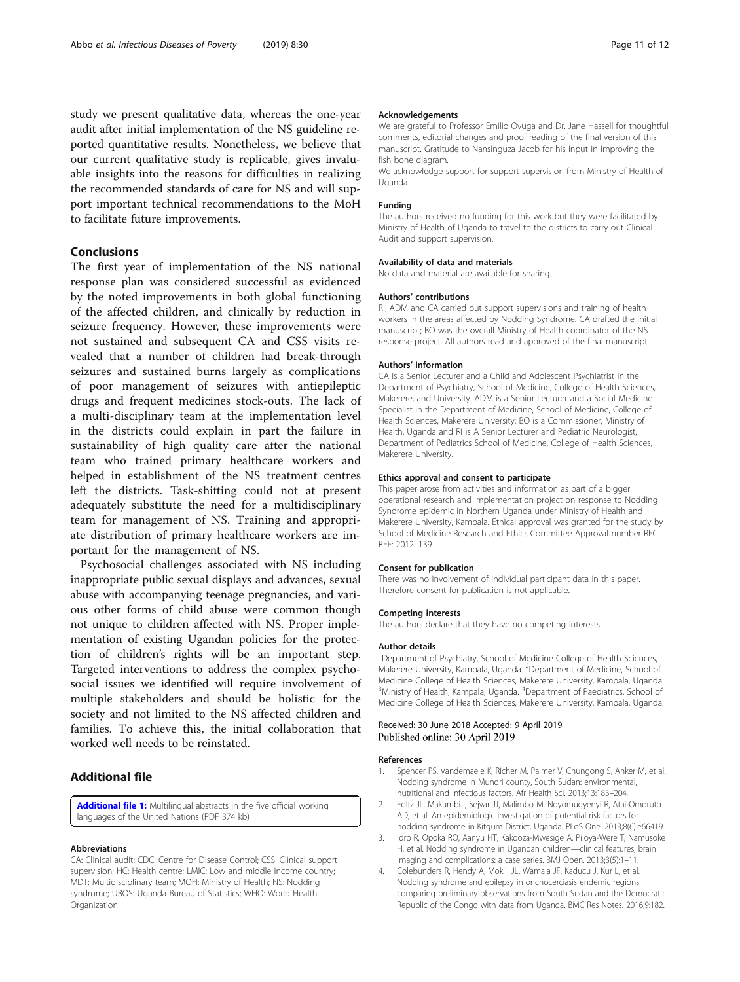<span id="page-10-0"></span>study we present qualitative data, whereas the one-year audit after initial implementation of the NS guideline reported quantitative results. Nonetheless, we believe that our current qualitative study is replicable, gives invaluable insights into the reasons for difficulties in realizing the recommended standards of care for NS and will support important technical recommendations to the MoH to facilitate future improvements.

## Conclusions

The first year of implementation of the NS national response plan was considered successful as evidenced by the noted improvements in both global functioning of the affected children, and clinically by reduction in seizure frequency. However, these improvements were not sustained and subsequent CA and CSS visits revealed that a number of children had break-through seizures and sustained burns largely as complications of poor management of seizures with antiepileptic drugs and frequent medicines stock-outs. The lack of a multi-disciplinary team at the implementation level in the districts could explain in part the failure in sustainability of high quality care after the national team who trained primary healthcare workers and helped in establishment of the NS treatment centres left the districts. Task-shifting could not at present adequately substitute the need for a multidisciplinary team for management of NS. Training and appropriate distribution of primary healthcare workers are important for the management of NS.

Psychosocial challenges associated with NS including inappropriate public sexual displays and advances, sexual abuse with accompanying teenage pregnancies, and various other forms of child abuse were common though not unique to children affected with NS. Proper implementation of existing Ugandan policies for the protection of children's rights will be an important step. Targeted interventions to address the complex psychosocial issues we identified will require involvement of multiple stakeholders and should be holistic for the society and not limited to the NS affected children and families. To achieve this, the initial collaboration that worked well needs to be reinstated.

# Additional file

[Additional file 1:](https://doi.org/10.1186/s40249-019-0540-x) Multilingual abstracts in the five official working languages of the United Nations (PDF 374 kb)

#### Abbreviations

CA: Clinical audit; CDC: Centre for Disease Control; CSS: Clinical support supervision; HC: Health centre; LMIC: Low and middle income country; MDT: Multidisciplinary team; MOH: Ministry of Health; NS: Nodding syndrome; UBOS: Uganda Bureau of Statistics; WHO: World Health Organization

#### Acknowledgements

We are grateful to Professor Emilio Ovuga and Dr. Jane Hassell for thoughtful comments, editorial changes and proof reading of the final version of this manuscript. Gratitude to Nansinguza Jacob for his input in improving the fish bone diagram.

We acknowledge support for support supervision from Ministry of Health of Uganda.

#### Funding

The authors received no funding for this work but they were facilitated by Ministry of Health of Uganda to travel to the districts to carry out Clinical Audit and support supervision.

#### Availability of data and materials

No data and material are available for sharing.

#### Authors' contributions

RI, ADM and CA carried out support supervisions and training of health workers in the areas affected by Nodding Syndrome. CA drafted the initial manuscript; BO was the overall Ministry of Health coordinator of the NS response project. All authors read and approved of the final manuscript.

#### Authors' information

CA is a Senior Lecturer and a Child and Adolescent Psychiatrist in the Department of Psychiatry, School of Medicine, College of Health Sciences, Makerere, and University. ADM is a Senior Lecturer and a Social Medicine Specialist in the Department of Medicine, School of Medicine, College of Health Sciences, Makerere University; BO is a Commissioner, Ministry of Health, Uganda and RI is A Senior Lecturer and Pediatric Neurologist, Department of Pediatrics School of Medicine, College of Health Sciences, Makerere University.

#### Ethics approval and consent to participate

This paper arose from activities and information as part of a bigger operational research and implementation project on response to Nodding Syndrome epidemic in Northern Uganda under Ministry of Health and Makerere University, Kampala. Ethical approval was granted for the study by School of Medicine Research and Ethics Committee Approval number REC REF: 2012–139.

#### Consent for publication

There was no involvement of individual participant data in this paper. Therefore consent for publication is not applicable.

#### Competing interests

The authors declare that they have no competing interests.

#### Author details

<sup>1</sup>Department of Psychiatry, School of Medicine College of Health Sciences, Makerere University, Kampala, Uganda. <sup>2</sup>Department of Medicine, School of Medicine College of Health Sciences, Makerere University, Kampala, Uganda. <sup>3</sup>Ministry of Health, Kampala, Uganda. <sup>4</sup>Department of Paediatrics, School of Medicine College of Health Sciences, Makerere University, Kampala, Uganda.

#### Received: 30 June 2018 Accepted: 9 April 2019 Published online: 30 April 2019

#### References

- Spencer PS, Vandemaele K, Richer M, Palmer V, Chungong S, Anker M, et al. Nodding syndrome in Mundri county, South Sudan: environmental, nutritional and infectious factors. Afr Health Sci. 2013;13:183–204.
- 2. Foltz JL, Makumbi I, Sejvar JJ, Malimbo M, Ndyomugyenyi R, Atai-Omoruto AD, et al. An epidemiologic investigation of potential risk factors for nodding syndrome in Kitgum District, Uganda. PLoS One. 2013;8(6):e66419.
- 3. Idro R, Opoka RO, Aanyu HT, Kakooza-Mwesige A, Piloya-Were T, Namusoke H, et al. Nodding syndrome in Ugandan children—clinical features, brain imaging and complications: a case series. BMJ Open. 2013;3(5):1–11.
- 4. Colebunders R, Hendy A, Mokili JL, Wamala JF, Kaducu J, Kur L, et al. Nodding syndrome and epilepsy in onchocerciasis endemic regions: comparing preliminary observations from South Sudan and the Democratic Republic of the Congo with data from Uganda. BMC Res Notes. 2016;9:182.